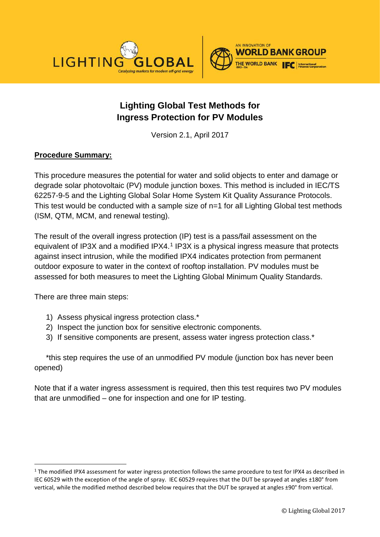



# **Lighting Global Test Methods for Ingress Protection for PV Modules**

Version 2.1, April 2017

## **Procedure Summary:**

This procedure measures the potential for water and solid objects to enter and damage or degrade solar photovoltaic (PV) module junction boxes. This method is included in IEC/TS 62257-9-5 and the Lighting Global Solar Home System Kit Quality Assurance Protocols. This test would be conducted with a sample size of n=1 for all Lighting Global test methods (ISM, QTM, MCM, and renewal testing).

The result of the overall ingress protection (IP) test is a pass/fail assessment on the equivalent of IP3X and a modified IPX4.<sup>[1](#page-0-0)</sup> IP3X is a physical ingress measure that protects against insect intrusion, while the modified IPX4 indicates protection from permanent outdoor exposure to water in the context of rooftop installation. PV modules must be assessed for both measures to meet the Lighting Global Minimum Quality Standards.

There are three main steps:

- 1) Assess physical ingress protection class.\*
- 2) Inspect the junction box for sensitive electronic components.
- 3) If sensitive components are present, assess water ingress protection class.\*

\*this step requires the use of an unmodified PV module (junction box has never been opened)

Note that if a water ingress assessment is required, then this test requires two PV modules that are unmodified – one for inspection and one for IP testing.

<span id="page-0-0"></span><sup>&</sup>lt;sup>1</sup> The modified IPX4 assessment for water ingress protection follows the same procedure to test for IPX4 as described in IEC 60529 with the exception of the angle of spray. IEC 60529 requires that the DUT be sprayed at angles ±180° from vertical, while the modified method described below requires that the DUT be sprayed at angles ±90° from vertical.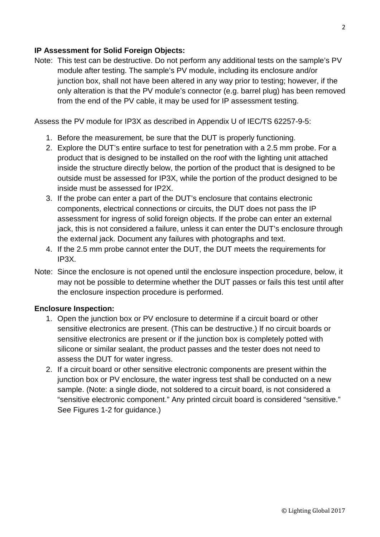### **IP Assessment for Solid Foreign Objects:**

Note: This test can be destructive. Do not perform any additional tests on the sample's PV module after testing. The sample's PV module, including its enclosure and/or junction box, shall not have been altered in any way prior to testing; however, if the only alteration is that the PV module's connector (e.g. barrel plug) has been removed from the end of the PV cable, it may be used for IP assessment testing.

Assess the PV module for IP3X as described in Appendix U of IEC/TS 62257-9-5:

- 1. Before the measurement, be sure that the DUT is properly functioning.
- 2. Explore the DUT's entire surface to test for penetration with a 2.5 mm probe. For a product that is designed to be installed on the roof with the lighting unit attached inside the structure directly below, the portion of the product that is designed to be outside must be assessed for IP3X, while the portion of the product designed to be inside must be assessed for IP2X.
- 3. If the probe can enter a part of the DUT's enclosure that contains electronic components, electrical connections or circuits, the DUT does not pass the IP assessment for ingress of solid foreign objects. If the probe can enter an external jack, this is not considered a failure, unless it can enter the DUT's enclosure through the external jack. Document any failures with photographs and text.
- 4. If the 2.5 mm probe cannot enter the DUT, the DUT meets the requirements for IP3X.
- Note: Since the enclosure is not opened until the enclosure inspection procedure, below, it may not be possible to determine whether the DUT passes or fails this test until after the enclosure inspection procedure is performed.

#### **Enclosure Inspection:**

- 1. Open the junction box or PV enclosure to determine if a circuit board or other sensitive electronics are present. (This can be destructive.) If no circuit boards or sensitive electronics are present or if the junction box is completely potted with silicone or similar sealant, the product passes and the tester does not need to assess the DUT for water ingress.
- 2. If a circuit board or other sensitive electronic components are present within the junction box or PV enclosure, the water ingress test shall be conducted on a new sample. (Note: a single diode, not soldered to a circuit board, is not considered a "sensitive electronic component." Any printed circuit board is considered "sensitive." See Figures [1](#page-2-0)[-2](#page-2-1) for guidance.)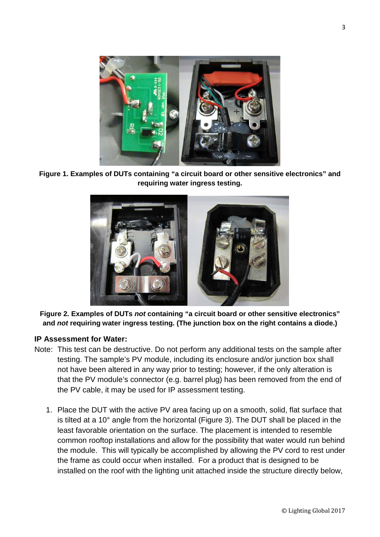

**Figure 1. Examples of DUTs containing "a circuit board or other sensitive electronics" and requiring water ingress testing.**

<span id="page-2-0"></span>

<span id="page-2-1"></span>**Figure 2. Examples of DUTs** *not* **containing "a circuit board or other sensitive electronics" and** *not* **requiring water ingress testing. (The junction box on the right contains a diode.)**

#### **IP Assessment for Water:**

- Note: This test can be destructive. Do not perform any additional tests on the sample after testing. The sample's PV module, including its enclosure and/or junction box shall not have been altered in any way prior to testing; however, if the only alteration is that the PV module's connector (e.g. barrel plug) has been removed from the end of the PV cable, it may be used for IP assessment testing.
	- 1. Place the DUT with the active PV area facing up on a smooth, solid, flat surface that is tilted at a 10° angle from the horizontal (Figure 3). The DUT shall be placed in the least favorable orientation on the surface. The placement is intended to resemble common rooftop installations and allow for the possibility that water would run behind the module. This will typically be accomplished by allowing the PV cord to rest under the frame as could occur when installed. For a product that is designed to be installed on the roof with the lighting unit attached inside the structure directly below,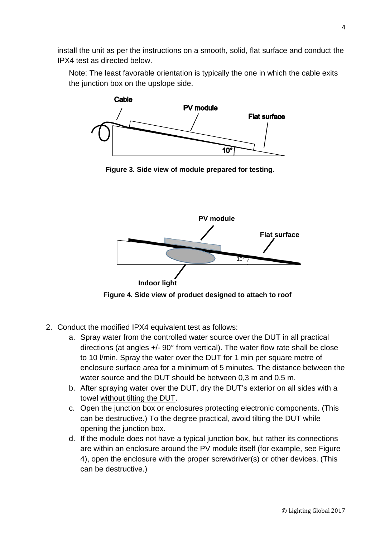install the unit as per the instructions on a smooth, solid, flat surface and conduct the IPX4 test as directed below.

Note: The least favorable orientation is typically the one in which the cable exits the junction box on the upslope side.



**Figure 3. Side view of module prepared for testing.**



**Figure 4. Side view of product designed to attach to roof**

- 2. Conduct the modified IPX4 equivalent test as follows:
	- a. Spray water from the controlled water source over the DUT in all practical directions (at angles +/- 90° from vertical). The water flow rate shall be close to 10 l/min. Spray the water over the DUT for 1 min per square metre of enclosure surface area for a minimum of 5 minutes. The distance between the water source and the DUT should be between 0,3 m and 0,5 m.
	- b. After spraying water over the DUT, dry the DUT's exterior on all sides with a towel without tilting the DUT.
	- c. Open the junction box or enclosures protecting electronic components. (This can be destructive.) To the degree practical, avoid tilting the DUT while opening the junction box.
	- d. If the module does not have a typical junction box, but rather its connections are within an enclosure around the PV module itself (for example, see Figure 4), open the enclosure with the proper screwdriver(s) or other devices. (This can be destructive.)